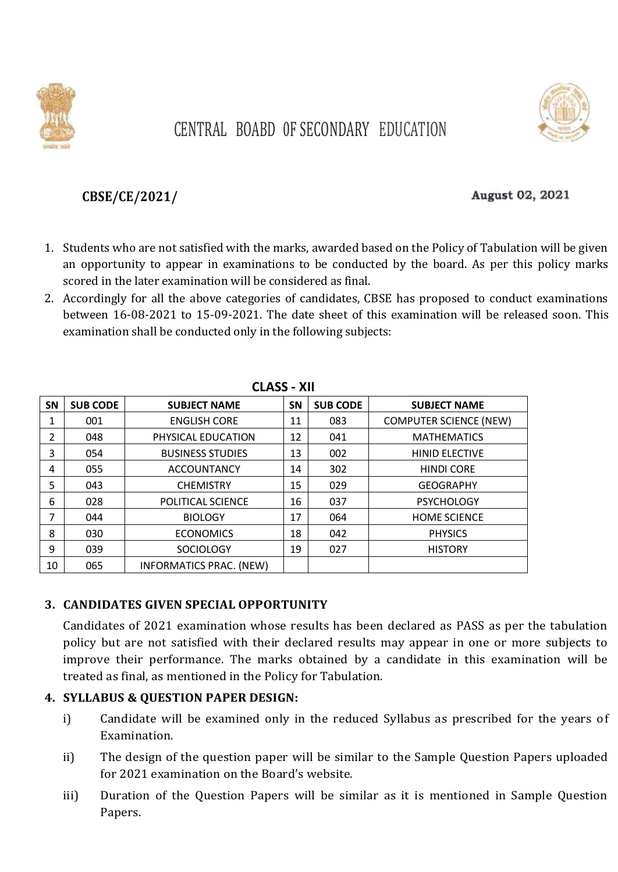

# CENTRAL BOABD 0F SECONDARY EDUCATION

### **CBSE/CE/2021/**

#### August 02, 2021

- 1. Students who are not satisfied with the marks, awarded based on the Policy of Tabulation will be given an opportunity to appear in examinations to be conducted by the board. As per this policy marks scored in the later examination will be considered as final.
- 2. Accordingly for all the above categories of candidates, CBSE has proposed to conduct examinations between 16-08-2021 to 15-09-2021. The date sheet of this examination will be released soon. This examination shall be conducted only in the following subjects:

| LLAJJ - AII |                 |                                |           |                 |                               |  |  |
|-------------|-----------------|--------------------------------|-----------|-----------------|-------------------------------|--|--|
| <b>SN</b>   | <b>SUB CODE</b> | <b>SUBJECT NAME</b>            | <b>SN</b> | <b>SUB CODE</b> | <b>SUBJECT NAME</b>           |  |  |
|             | 001             | <b>ENGLISH CORE</b>            | 11        | 083             | <b>COMPUTER SCIENCE (NEW)</b> |  |  |
| 2           | 048             | PHYSICAL EDUCATION             | 12        | 041             | <b>MATHEMATICS</b>            |  |  |
| 3           | 054             | <b>BUSINESS STUDIES</b>        | 13        | 002             | <b>HINID ELECTIVE</b>         |  |  |
| 4           | 055             | <b>ACCOUNTANCY</b>             | 14        | 302             | <b>HINDI CORE</b>             |  |  |
| 5           | 043             | <b>CHEMISTRY</b>               | 15        | 029             | <b>GEOGRAPHY</b>              |  |  |
| 6           | 028             | POLITICAL SCIENCE              | 16        | 037             | <b>PSYCHOLOGY</b>             |  |  |
| 7           | 044             | <b>BIOLOGY</b>                 | 17        | 064             | <b>HOME SCIENCE</b>           |  |  |
| 8           | 030             | <b>ECONOMICS</b>               | 18        | 042             | <b>PHYSICS</b>                |  |  |
| 9           | 039             | <b>SOCIOLOGY</b>               | 19        | 027             | <b>HISTORY</b>                |  |  |
| 10          | 065             | <b>INFORMATICS PRAC. (NEW)</b> |           |                 |                               |  |  |

| <b>CLASS - XII</b> |  |
|--------------------|--|
|--------------------|--|

#### **3. CANDIDATES GIVEN SPECIAL OPPORTUNITY**

Candidates of 2021 examination whose results has been declared as PASS as per the tabulation policy but are not satisfied with their declared results may appear in one or more subjects to improve their performance. The marks obtained by a candidate in this examination will be treated as final, as mentioned in the Policy for Tabulation.

#### **4. SYLLABUS & QUESTION PAPER DESIGN:**

- i) Candidate will be examined only in the reduced Syllabus as prescribed for the years of Examination.
- ii) The design of the question paper will be similar to the Sample Question Papers uploaded for 2021 examination on the Board's website.
- iii) Duration of the Question Papers will be similar as it is mentioned in Sample Question Papers.